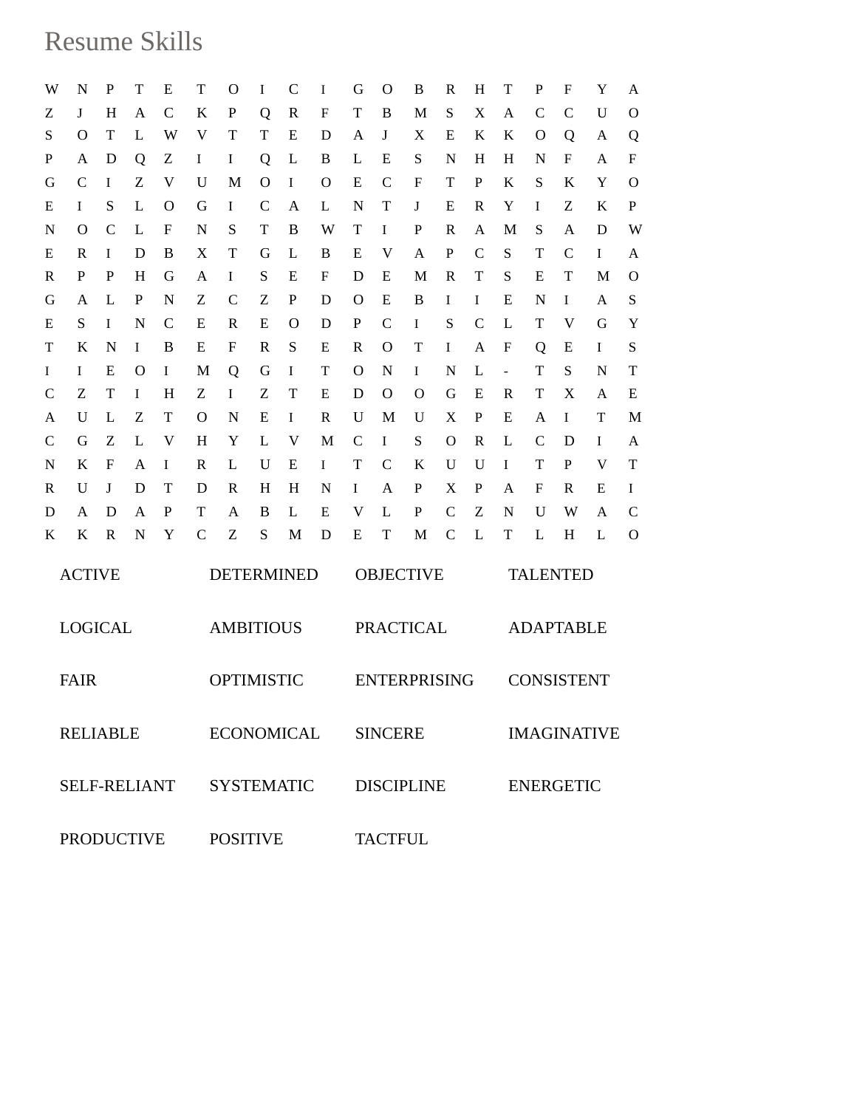## Resume Skills

| W                 | N                   | P            | T           | Е            | T                 | $\mathbf O$       | I           | $\mathsf{C}$ | I | G        | O                   | B              | $\mathbb{R}$  | H             | T               | P                  | F | Y  | A             |  |
|-------------------|---------------------|--------------|-------------|--------------|-------------------|-------------------|-------------|--------------|---|----------|---------------------|----------------|---------------|---------------|-----------------|--------------------|---|----|---------------|--|
| Ζ                 | J                   | H            | A           | $\mathsf{C}$ | K                 | P                 | Q           | $\mathbb{R}$ | F | T        | B                   | M              | S             | X             | A               | $\mathsf{C}$       | C | U  | $\mathbf O$   |  |
| S                 | O                   | Т            | L           | W            | V                 | T                 | T           | E            | D | A        | J                   | X              | E             | K             | K               | O                  | Q | A  | Q             |  |
| P                 | A                   | D            | Q           | Ζ            | I                 | I                 | Q           | L            | B | L        | Ε                   | S              | N             | H             | H               | N                  | F | A  | F             |  |
| G                 | $\mathcal{C}$       | I            | Ζ           | V            | U                 | M                 | O           | I            | O | E        | $\mathcal{C}$       | F              | T             | $\mathbf P$   | K               | S                  | K | Y  | $\Omega$      |  |
| Ε                 | Ι                   | S            | L           | $\Omega$     | G                 | I                 | $\mathbf C$ | A            | L | N        | T                   | J              | E             | $\mathbb{R}$  | Y               | I                  | Ζ | K  | P             |  |
| N                 | $\Omega$            | $\mathsf{C}$ | L           | F            | N                 | S                 | T           | B            | W | T        | I                   | P              | R             | A             | M               | S                  | A | D  | W             |  |
| Ε                 | R                   | I            | D           | B            | X                 | T                 | G           | L            | B | Ε        | V                   | A              | P             | $\mathcal{C}$ | S               | T                  | C | Ι. | A             |  |
| R                 | P                   | P            | H           | G            | A                 | I                 | S           | E            | F | D        | Ε                   | M              | $\mathbb{R}$  | T             | S               | Ε                  | T | M  | $\mathbf O$   |  |
| G                 | A                   | L            | $\mathbf P$ | N            | Ζ                 | $\mathcal{C}$     | Ζ           | P            | D | $\Omega$ | Ε                   | B              | I             | I             | Ε               | N                  | Ι | A  | S             |  |
| Ε                 | S                   | I            | N           | C            | E                 | R                 | E           | O            | D | P        | $\mathcal{C}$       | I              | S             | $\mathsf{C}$  | L               | T                  | V | G  | Y             |  |
| T                 | K                   | N            | I           | B            | E                 | F                 | R           | S            | E | R        | O                   | T              | $\bf{I}$      | A             | F               | Q                  | Ε | Ι  | S             |  |
| I                 | I                   | E            | O           | I            | M                 | Q                 | G           | I            | T | O        | N                   | I              | N             | L             | $\frac{1}{2}$   | T                  | S | N  | T             |  |
| $\mathbf C$       | Ζ                   | T            | I           | H            | Z                 | I                 | Ζ           | T            | E | D        | O                   | O              | G             | E             | R               | T                  | X | A  | E             |  |
| A                 | U                   | L            | Ζ           | T            | O                 | N                 | Ε           | L            | R | U        | M                   | U              | X             | P             | Ε               | A                  | Ι | T  | M             |  |
| C                 | G                   | Ζ            | L           | V            | H                 | Y                 | L           | V            | M | C        | Ι                   | S              | $\Omega$      | $\mathbb{R}$  | L               | $\mathcal{C}$      | D | Ι  | A             |  |
| N                 | K                   | F            | A           | I            | R                 | L                 | U           | E            | Ι | T        | $\mathsf{C}$        | K              | U             | U             | I               | T                  | P | V  | T             |  |
| R                 | U                   | J            | D           | Т            | D                 | R                 | H           | H            | N | I        | Α                   | P              | X             | P             | A               | F                  | R | E  | I             |  |
| D                 | A                   | D            | A           | P            | T                 | A                 | B           | L            | E | V        | L                   | $\mathbf P$    | $\mathcal{C}$ | Z             | N               | U                  | W | A  | $\mathcal{C}$ |  |
| K                 | K                   | R            | N           | Y            | $\mathsf{C}$      | Ζ                 | S           | M            | D | E        | T                   | M              | $\mathsf{C}$  | L             | T               | L                  | H | L  | $\mathbf O$   |  |
|                   | <b>ACTIVE</b>       |              |             |              | <b>DETERMINED</b> |                   |             |              |   |          | <b>OBJECTIVE</b>    |                |               |               | <b>TALENTED</b> |                    |   |    |               |  |
|                   | <b>LOGICAL</b>      |              |             |              | <b>AMBITIOUS</b>  |                   |             |              |   |          | <b>PRACTICAL</b>    |                |               |               |                 | <b>ADAPTABLE</b>   |   |    |               |  |
|                   | <b>FAIR</b>         |              |             |              | <b>OPTIMISTIC</b> |                   |             |              |   |          | <b>ENTERPRISING</b> |                |               |               |                 | <b>CONSISTENT</b>  |   |    |               |  |
|                   | <b>RELIABLE</b>     |              |             |              | ECONOMICAL        |                   |             |              |   |          | <b>SINCERE</b>      |                |               |               |                 | <b>IMAGINATIVE</b> |   |    |               |  |
|                   | <b>SELF-RELIANT</b> |              |             |              |                   | <b>SYSTEMATIC</b> |             |              |   |          | <b>DISCIPLINE</b>   |                |               |               |                 | <b>ENERGETIC</b>   |   |    |               |  |
| <b>PRODUCTIVE</b> |                     |              |             |              |                   | <b>POSITIVE</b>   |             |              |   |          |                     | <b>TACTFUL</b> |               |               |                 |                    |   |    |               |  |